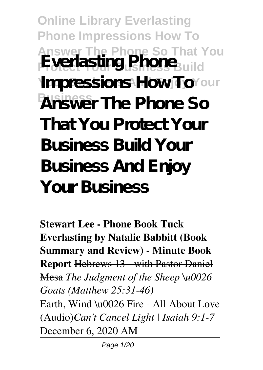**Online Library Everlasting Phone Impressions How To Answer The Phone So That You Everlasting Phone**<sub>Build</sub> **Ympressions How ToYour Business Answer The Phone So That You Protect Your Business Build Your Business And Enjoy Your Business**

**Stewart Lee - Phone Book Tuck Everlasting by Natalie Babbitt (Book Summary and Review) - Minute Book Report** Hebrews 13 - with Pastor Daniel Mesa *The Judgment of the Sheep \u0026 Goats (Matthew 25:31-46)* Earth, Wind \u0026 Fire - All About Love

(Audio)*Can't Cancel Light | Isaiah 9:1-7* December 6, 2020 AM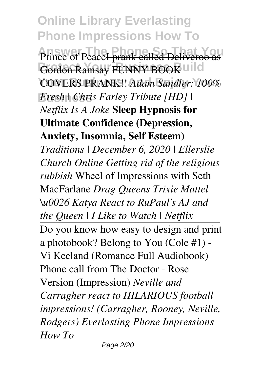**Online Library Everlasting Phone Impressions How To** Prince of Peace<del>I prank called Deliveroo as</del> Gordon Ramsay FUNNY BOOK uild **Your Business And Enjoy Your** COVERS PRANK!! *Adam Sandler: 100%*  $Fresh | Chris Farley Tribune |HD |$ *Netflix Is A Joke* **Sleep Hypnosis for Ultimate Confidence (Depression, Anxiety, Insomnia, Self Esteem)** *Traditions | December 6, 2020 | Ellerslie Church Online Getting rid of the religious rubbish* Wheel of Impressions with Seth MacFarlane *Drag Queens Trixie Mattel \u0026 Katya React to RuPaul's AJ and the Queen | I Like to Watch | Netflix* Do you know how easy to design and print a photobook? Belong to You (Cole #1) - Vi Keeland (Romance Full Audiobook) Phone call from The Doctor - Rose Version (Impression) *Neville and Carragher react to HILARIOUS football impressions! (Carragher, Rooney, Neville, Rodgers) Everlasting Phone Impressions How To*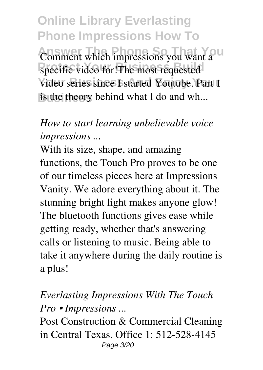**Online Library Everlasting Phone Impressions How To** Comment which impressions you want a U specific video for!The most requested video series since I started Youtube. Part 1 is the theory behind what I do and wh...

# *How to start learning unbelievable voice impressions ...*

With its size, shape, and amazing functions, the Touch Pro proves to be one of our timeless pieces here at Impressions Vanity. We adore everything about it. The stunning bright light makes anyone glow! The bluetooth functions gives ease while getting ready, whether that's answering calls or listening to music. Being able to take it anywhere during the daily routine is a plus!

## *Everlasting Impressions With The Touch Pro • Impressions ...*

Post Construction & Commercial Cleaning in Central Texas. Office 1: 512-528-4145 Page 3/20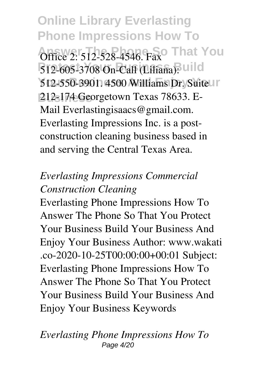**Online Library Everlasting Phone Impressions How To Office 2: 512-528-4546. Fax That You** 512-605-3708 On-Call (Liliana): uild **512-550-3901. 4500 Williams Dr. Suite In Business** 212-174 Georgetown Texas 78633. E-Mail Everlastingisaacs@gmail.com. Everlasting Impressions Inc. is a postconstruction cleaning business based in and serving the Central Texas Area.

## *Everlasting Impressions Commercial Construction Cleaning*

Everlasting Phone Impressions How To Answer The Phone So That You Protect Your Business Build Your Business And Enjoy Your Business Author: www.wakati .co-2020-10-25T00:00:00+00:01 Subject: Everlasting Phone Impressions How To Answer The Phone So That You Protect Your Business Build Your Business And Enjoy Your Business Keywords

#### *Everlasting Phone Impressions How To* Page 4/20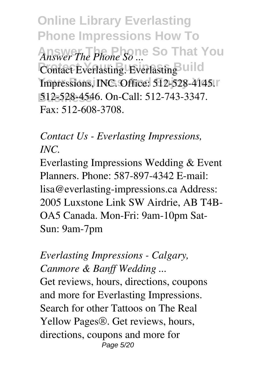**Online Library Everlasting Phone Impressions How To Answer The Phone So That You** *Answer The Phone So ...* **Contact Everlasting. Everlasting UIII**d **Impressions, INC. Office: 512-528-4145. Business** 512-528-4546. On-Call: 512-743-3347. Fax: 512-608-3708.

*Contact Us - Everlasting Impressions, INC.*

Everlasting Impressions Wedding & Event Planners. Phone: 587-897-4342 E-mail: lisa@everlasting-impressions.ca Address: 2005 Luxstone Link SW Airdrie, AB T4B-OA5 Canada. Mon-Fri: 9am-10pm Sat-Sun: 9am-7pm

*Everlasting Impressions - Calgary, Canmore & Banff Wedding ...* Get reviews, hours, directions, coupons and more for Everlasting Impressions. Search for other Tattoos on The Real Yellow Pages®. Get reviews, hours, directions, coupons and more for Page 5/20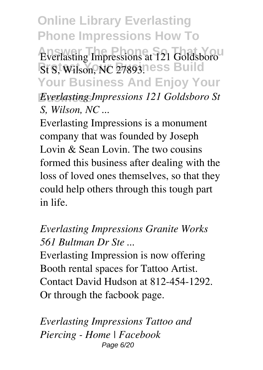**Online Library Everlasting Phone Impressions How To Everlasting Impressions at 121 Goldsboro** *St S, Wilson, NC 27893.***1ess Build Your Business And Enjoy Your Business** *Everlasting Impressions 121 Goldsboro St S, Wilson, NC ...*

Everlasting Impressions is a monument company that was founded by Joseph Lovin  $\&$  Sean Lovin. The two cousins formed this business after dealing with the loss of loved ones themselves, so that they could help others through this tough part in life.

*Everlasting Impressions Granite Works 561 Bultman Dr Ste ...*

Everlasting Impression is now offering Booth rental spaces for Tattoo Artist. Contact David Hudson at 812-454-1292. Or through the facbook page.

*Everlasting Impressions Tattoo and Piercing - Home | Facebook* Page 6/20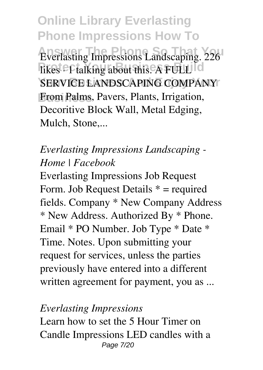**Online Library Everlasting Phone Impressions How To Everlasting Impressions Landscaping. 226 Tikes <sup>e</sup>f talking about this. A FULL Id SERVICE LANDSCAPING COMPANY** From Palms, Pavers, Plants, Irrigation, Decoritive Block Wall, Metal Edging, Mulch, Stone....

## *Everlasting Impressions Landscaping - Home | Facebook*

Everlasting Impressions Job Request Form. Job Request Details \* = required fields. Company \* New Company Address \* New Address. Authorized By \* Phone. Email \* PO Number. Job Type \* Date \* Time. Notes. Upon submitting your request for services, unless the parties previously have entered into a different written agreement for payment, you as ...

#### *Everlasting Impressions*

Learn how to set the 5 Hour Timer on Candle Impressions LED candles with a Page 7/20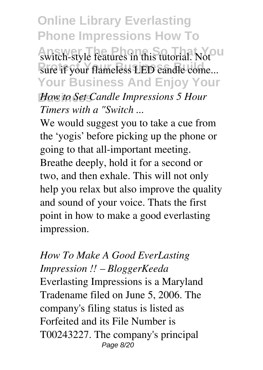**Online Library Everlasting Phone Impressions How To** switch-style features in this tutorial. Not<sup>our</sup> sure if your flameless LED candle come... **Your Business And Enjoy Your Business** *How to Set Candle Impressions 5 Hour Timers with a "Switch ...*

We would suggest you to take a cue from the 'yogis' before picking up the phone or going to that all-important meeting. Breathe deeply, hold it for a second or two, and then exhale. This will not only help you relax but also improve the quality and sound of your voice. Thats the first point in how to make a good everlasting impression.

*How To Make A Good EverLasting Impression !! – BloggerKeeda* Everlasting Impressions is a Maryland Tradename filed on June 5, 2006. The company's filing status is listed as Forfeited and its File Number is T00243227. The company's principal Page 8/20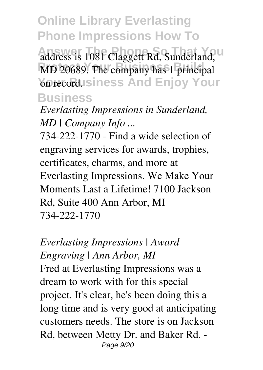**Online Library Everlasting Phone Impressions How To** address is 1081 Claggett Rd, Sunderland, U MD 20689. The company has 1 principal **Youre Business And Enjoy Your Business**

*Everlasting Impressions in Sunderland, MD | Company Info ...*

734-222-1770 - Find a wide selection of engraving services for awards, trophies, certificates, charms, and more at Everlasting Impressions. We Make Your Moments Last a Lifetime! 7100 Jackson Rd, Suite 400 Ann Arbor, MI 734-222-1770

*Everlasting Impressions | Award Engraving | Ann Arbor, MI* Fred at Everlasting Impressions was a dream to work with for this special project. It's clear, he's been doing this a long time and is very good at anticipating customers needs. The store is on Jackson Rd, between Metty Dr. and Baker Rd. - Page 9/20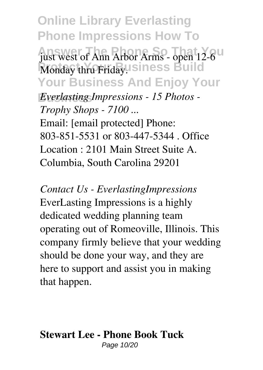**Online Library Everlasting Phone Impressions How To** just west of Ann Arbor Arms - open 12-6<sup>U</sup> Monday thru Friday. Siness Build **Your Business And Enjoy Your Business** *Everlasting Impressions - 15 Photos - Trophy Shops - 7100 ...* Email: [email protected] Phone: 803-851-5531 or 803-447-5344 . Office Location : 2101 Main Street Suite A. Columbia, South Carolina 29201

*Contact Us - EverlastingImpressions* EverLasting Impressions is a highly dedicated wedding planning team operating out of Romeoville, Illinois. This company firmly believe that your wedding should be done your way, and they are here to support and assist you in making that happen.

#### **Stewart Lee - Phone Book Tuck** Page 10/20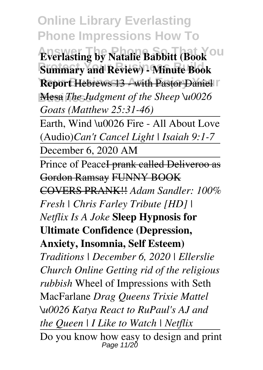**Online Library Everlasting Phone Impressions How To**

**Everlasting by Natalie Babbitt (Book**<sup>OU</sup> **Summary and Review) - Minute Book Report Hebrews 13 - with Pastor Daniel II Mesa** *The Judgment of the Sheep* **\u0026** *Goats (Matthew 25:31-46)*

Earth, Wind \u0026 Fire - All About Love (Audio)*Can't Cancel Light | Isaiah 9:1-7*

December 6, 2020 AM

Prince of Peace<del>I prank called Deliveroo as</del> Gordon Ramsay FUNNY BOOK COVERS PRANK!! *Adam Sandler: 100% Fresh | Chris Farley Tribute [HD] | Netflix Is A Joke* **Sleep Hypnosis for Ultimate Confidence (Depression, Anxiety, Insomnia, Self Esteem)** *Traditions | December 6, 2020 | Ellerslie Church Online Getting rid of the religious rubbish* Wheel of Impressions with Seth MacFarlane *Drag Queens Trixie Mattel \u0026 Katya React to RuPaul's AJ and the Queen | I Like to Watch | Netflix*

Do you know how easy to design and print<br> $P_{\text{age 11/20}}$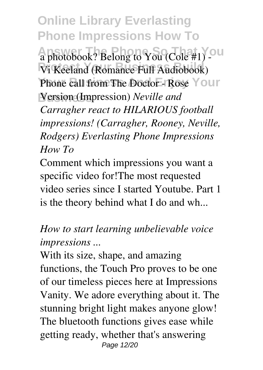**Online Library Everlasting Phone Impressions How To** a photobook? Belong to You (Cole #1) - U Vi Keeland (Romance Full Audiobook) Phone call from The Doctor - Rose Your **Business** Version (Impression) *Neville and Carragher react to HILARIOUS football impressions! (Carragher, Rooney, Neville, Rodgers) Everlasting Phone Impressions How To*

Comment which impressions you want a specific video for!The most requested video series since I started Youtube. Part 1 is the theory behind what I do and wh...

*How to start learning unbelievable voice impressions ...*

With its size, shape, and amazing functions, the Touch Pro proves to be one of our timeless pieces here at Impressions Vanity. We adore everything about it. The stunning bright light makes anyone glow! The bluetooth functions gives ease while getting ready, whether that's answering Page 12/20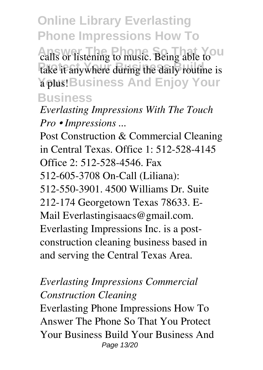**Online Library Everlasting Phone Impressions How To** calls or listening to music. Being able to U take it anywhere during the daily routine is **Your And Enjoy Your Business**

*Everlasting Impressions With The Touch Pro • Impressions ...*

Post Construction & Commercial Cleaning in Central Texas. Office 1: 512-528-4145 Office 2: 512-528-4546. Fax 512-605-3708 On-Call (Liliana): 512-550-3901. 4500 Williams Dr. Suite 212-174 Georgetown Texas 78633. E-Mail Everlastingisaacs@gmail.com. Everlasting Impressions Inc. is a postconstruction cleaning business based in and serving the Central Texas Area.

#### *Everlasting Impressions Commercial Construction Cleaning*

Everlasting Phone Impressions How To Answer The Phone So That You Protect Your Business Build Your Business And Page 13/20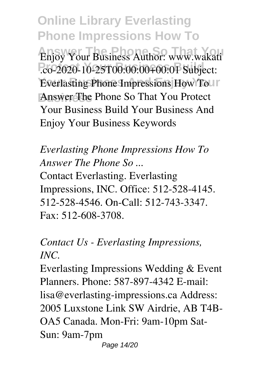**Online Library Everlasting Phone Impressions How To** *Answer Your Business Author: www.wakati* **Protect Your Business Build** .co-2020-10-25T00:00:00+00:01 Subject: **Everlasting Phone Impressions How Tour Business** Answer The Phone So That You Protect Your Business Build Your Business And Enjoy Your Business Keywords

### *Everlasting Phone Impressions How To Answer The Phone So ...*

Contact Everlasting. Everlasting Impressions, INC. Office: 512-528-4145. 512-528-4546. On-Call: 512-743-3347. Fax: 512-608-3708.

# *Contact Us - Everlasting Impressions, INC.*

Everlasting Impressions Wedding & Event Planners. Phone: 587-897-4342 E-mail: lisa@everlasting-impressions.ca Address: 2005 Luxstone Link SW Airdrie, AB T4B-OA5 Canada. Mon-Fri: 9am-10pm Sat-Sun: 9am-7pm Page 14/20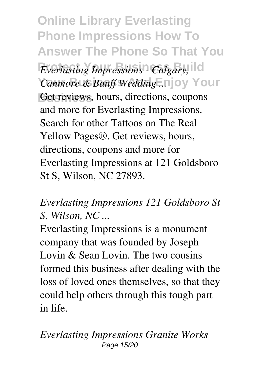**Online Library Everlasting Phone Impressions How To Answer The Phone So That You**

*Everlasting Impressions - Calgary,* **Your Business And Enjoy Your** *Canmore & Banff Wedding ...* Get reviews, hours, directions, coupons and more for Everlasting Impressions. Search for other Tattoos on The Real Yellow Pages®. Get reviews, hours, directions, coupons and more for Everlasting Impressions at 121 Goldsboro St S, Wilson, NC 27893.

## *Everlasting Impressions 121 Goldsboro St S, Wilson, NC ...*

Everlasting Impressions is a monument company that was founded by Joseph Lovin & Sean Lovin. The two cousins formed this business after dealing with the loss of loved ones themselves, so that they could help others through this tough part in life.

*Everlasting Impressions Granite Works* Page 15/20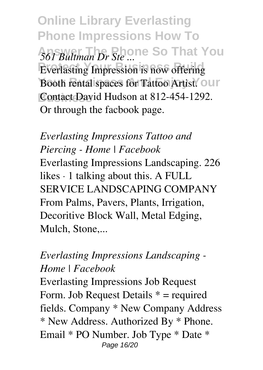**Online Library Everlasting Phone Impressions How To** 561 Bultman Dr Ste ... **Everlasting Impression is now offering** Booth rental spaces for Tattoo Artist.<sup>7</sup> Our Contact David Hudson at 812-454-1292. Or through the facbook page.

*Everlasting Impressions Tattoo and Piercing - Home | Facebook* Everlasting Impressions Landscaping. 226 likes · 1 talking about this. A FULL SERVICE LANDSCAPING COMPANY From Palms, Pavers, Plants, Irrigation, Decoritive Block Wall, Metal Edging, Mulch, Stone....

### *Everlasting Impressions Landscaping - Home | Facebook*

Everlasting Impressions Job Request Form. Job Request Details \* = required fields. Company \* New Company Address \* New Address. Authorized By \* Phone. Email \* PO Number. Job Type \* Date \* Page 16/20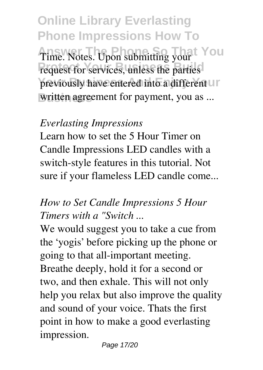**Online Library Everlasting Phone Impressions How To** Time. Notes. Upon submitting your request for services, unless the parties previously have entered into a different UP written agreement for payment, you as ...

#### *Everlasting Impressions*

Learn how to set the 5 Hour Timer on Candle Impressions LED candles with a switch-style features in this tutorial. Not sure if your flameless LED candle come...

## *How to Set Candle Impressions 5 Hour Timers with a "Switch ...*

We would suggest you to take a cue from the 'yogis' before picking up the phone or going to that all-important meeting. Breathe deeply, hold it for a second or two, and then exhale. This will not only help you relax but also improve the quality and sound of your voice. Thats the first point in how to make a good everlasting impression.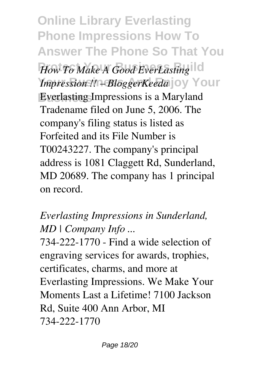**Online Library Everlasting Phone Impressions How To Answer The Phone So That You**

How To Make A Good EverLasting *Impression !! - BloggerKeeda* joy Your **Business** Everlasting Impressions is a Maryland Tradename filed on June 5, 2006. The company's filing status is listed as Forfeited and its File Number is T00243227. The company's principal address is 1081 Claggett Rd, Sunderland, MD 20689. The company has 1 principal on record.

# *Everlasting Impressions in Sunderland, MD | Company Info ...*

734-222-1770 - Find a wide selection of engraving services for awards, trophies, certificates, charms, and more at Everlasting Impressions. We Make Your Moments Last a Lifetime! 7100 Jackson Rd, Suite 400 Ann Arbor, MI 734-222-1770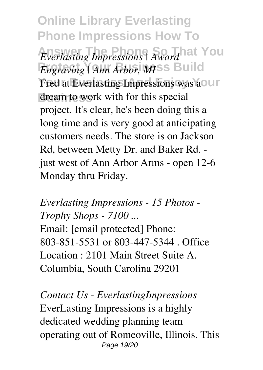**Online Library Everlasting Phone Impressions How To** *Everlasting Impressions | Awardhat You Engraving | Ann Arbor, MISS Build* Fred at Everlasting Impressions was ao ur dream to work with for this special project. It's clear, he's been doing this a long time and is very good at anticipating customers needs. The store is on Jackson Rd, between Metty Dr. and Baker Rd. just west of Ann Arbor Arms - open 12-6 Monday thru Friday.

*Everlasting Impressions - 15 Photos - Trophy Shops - 7100 ...* Email: [email protected] Phone: 803-851-5531 or 803-447-5344 . Office Location : 2101 Main Street Suite A. Columbia, South Carolina 29201

*Contact Us - EverlastingImpressions* EverLasting Impressions is a highly dedicated wedding planning team operating out of Romeoville, Illinois. This Page 19/20